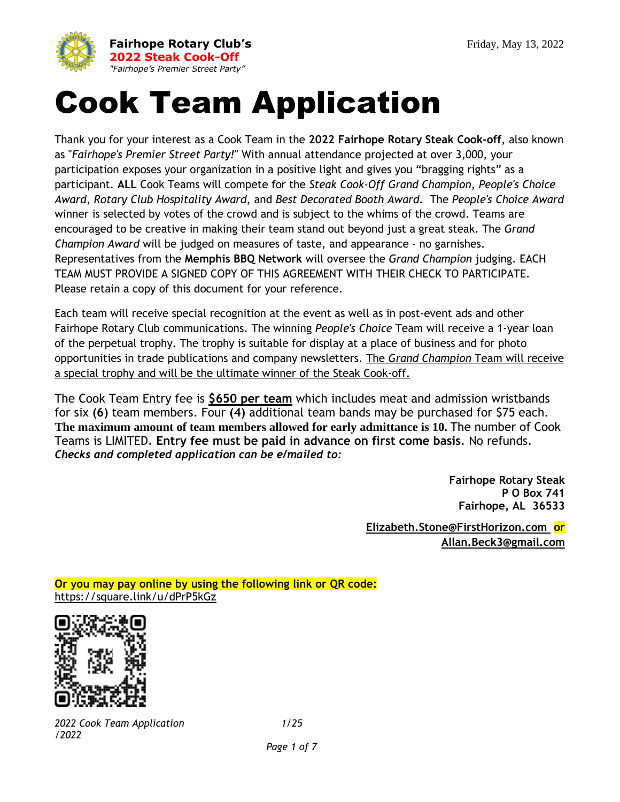

# Cook Team Application

Thank you for your interest as a Cook Team in the **2022 Fairhope Rotary Steak Cook-off**, also known as "*Fairhope's Premier Street Party!*" With annual attendance projected at over 3,000, your participation exposes your organization in a positive light and gives you "bragging rights" as a participant. **ALL** Cook Teams will compete for the *Steak Cook-Off Grand Champion*, *People's Choice Award*, *Rotary Club Hospitality Award*, and *Best Decorated Booth Award*. The *People's Choice Award* winner is selected by votes of the crowd and is subject to the whims of the crowd. Teams are encouraged to be creative in making their team stand out beyond just a great steak. The *Grand Champion Award* will be judged on measures of taste, and appearance - no garnishes. Representatives from the **Memphis BBQ Network** will oversee the *Grand Champion* judging. EACH TEAM MUST PROVIDE A SIGNED COPY OF THIS AGREEMENT WITH THEIR CHECK TO PARTICIPATE. Please retain a copy of this document for your reference.

Each team will receive special recognition at the event as well as in post-event ads and other Fairhope Rotary Club communications. The winning *People's Choice* Team will receive a 1-year loan of the perpetual trophy. The trophy is suitable for display at a place of business and for photo opportunities in trade publications and company newsletters. The *Grand Champion* Team will receive a special trophy and will be the ultimate winner of the Steak Cook-off.

The Cook Team Entry fee is **\$650 per team** which includes meat and admission wristbands for six **(6)** team members. Four **(4)** additional team bands may be purchased for \$75 each. **The maximum amount of team members allowed for early admittance is 10.** The number of Cook Teams is LIMITED. **Entry fee must be paid in advance on first come basis**. No refunds. *Checks and completed application can be e/mailed to:*

> **Fairhope Rotary Steak P O Box 741 Fairhope, AL 36533**

**[Elizabeth.Stone@FirstHorizon.com](mailto:Elizabeth.Stone@FirstHorizon.com) or Allan.Beck3@gmail.com**

**Or you may pay online by using the following link or QR code:** <https://square.link/u/dPrP5kGz>



*2022 Cook Team Application 1/25 /2022*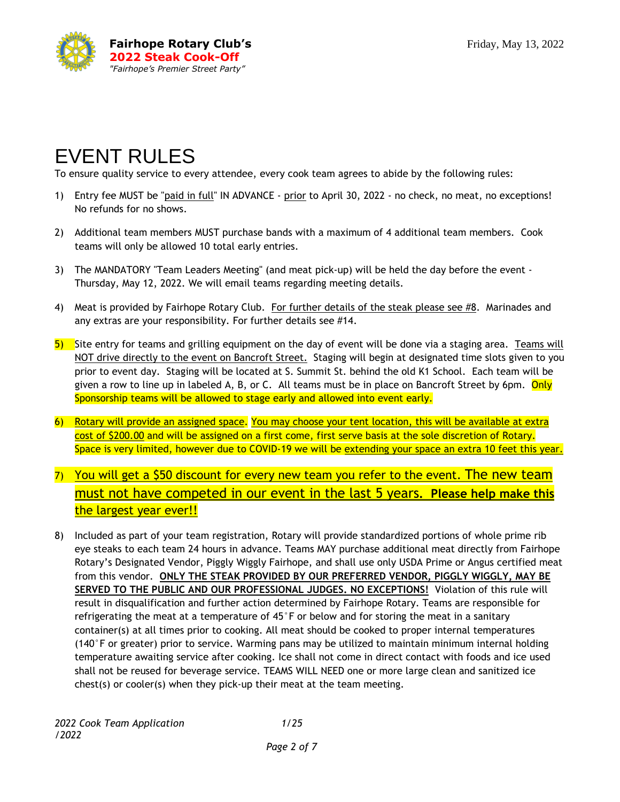

## EVENT RULES

To ensure quality service to every attendee, every cook team agrees to abide by the following rules:

- 1) Entry fee MUST be "paid in full" IN ADVANCE prior to April 30, 2022 no check, no meat, no exceptions! No refunds for no shows.
- 2) Additional team members MUST purchase bands with a maximum of 4 additional team members. Cook teams will only be allowed 10 total early entries.
- 3) The MANDATORY "Team Leaders Meeting" (and meat pick-up) will be held the day before the event Thursday, May 12, 2022. We will email teams regarding meeting details.
- 4) Meat is provided by Fairhope Rotary Club. For further details of the steak please see #8. Marinades and any extras are your responsibility. For further details see #14.
- 5) Site entry for teams and grilling equipment on the day of event will be done via a staging area. Teams will NOT drive directly to the event on Bancroft Street. Staging will begin at designated time slots given to you prior to event day. Staging will be located at S. Summit St. behind the old K1 School. Each team will be given a row to line up in labeled A, B, or C. All teams must be in place on Bancroft Street by 6pm. Only Sponsorship teams will be allowed to stage early and allowed into event early.
- 6) Rotary will provide an assigned space. You may choose your tent location, this will be available at extra cost of \$200.00 and will be assigned on a first come, first serve basis at the sole discretion of Rotary. Space is very limited, however due to COVID-19 we will be extending your space an extra 10 feet this year.
- 7) You will get a \$50 discount for every new team you refer to the event. The new team must not have competed in our event in the last 5 years**. Please help make this** the largest year ever!!
- 8) Included as part of your team registration, Rotary will provide standardized portions of whole prime rib eye steaks to each team 24 hours in advance. Teams MAY purchase additional meat directly from Fairhope Rotary's Designated Vendor, Piggly Wiggly Fairhope, and shall use only USDA Prime or Angus certified meat from this vendor. **ONLY THE STEAK PROVIDED BY OUR PREFERRED VENDOR, PIGGLY WIGGLY, MAY BE SERVED TO THE PUBLIC AND OUR PROFESSIONAL JUDGES. NO EXCEPTIONS!** Violation of this rule will result in disqualification and further action determined by Fairhope Rotary. Teams are responsible for refrigerating the meat at a temperature of 45°F or below and for storing the meat in a sanitary container(s) at all times prior to cooking. All meat should be cooked to proper internal temperatures (140°F or greater) prior to service. Warming pans may be utilized to maintain minimum internal holding temperature awaiting service after cooking. Ice shall not come in direct contact with foods and ice used shall not be reused for beverage service. TEAMS WILL NEED one or more large clean and sanitized ice chest(s) or cooler(s) when they pick-up their meat at the team meeting.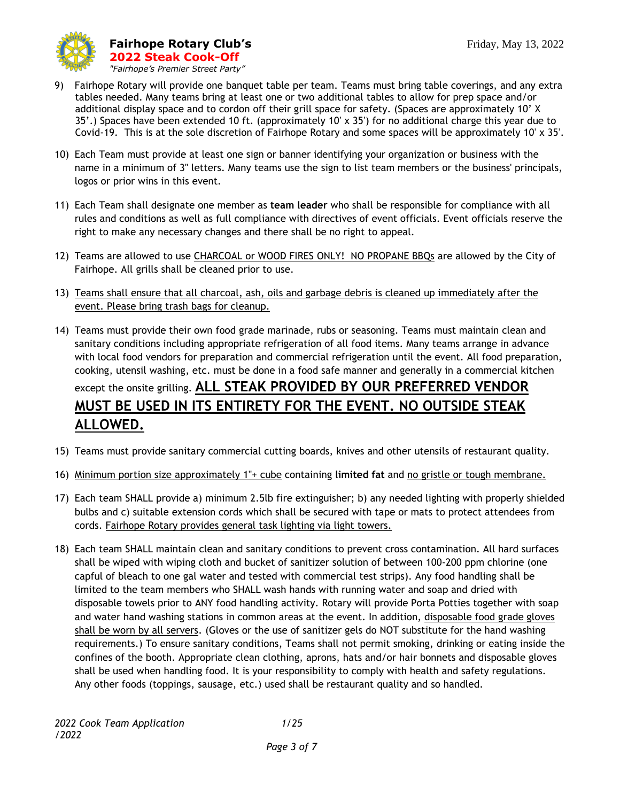

- 9) Fairhope Rotary will provide one banquet table per team. Teams must bring table coverings, and any extra tables needed. Many teams bring at least one or two additional tables to allow for prep space and/or additional display space and to cordon off their grill space for safety. (Spaces are approximately 10' X 35'.) Spaces have been extended 10 ft. (approximately 10' x 35') for no additional charge this year due to Covid-19. This is at the sole discretion of Fairhope Rotary and some spaces will be approximately 10' x 35'.
- 10) Each Team must provide at least one sign or banner identifying your organization or business with the name in a minimum of 3" letters. Many teams use the sign to list team members or the business' principals, logos or prior wins in this event.
- 11) Each Team shall designate one member as **team leader** who shall be responsible for compliance with all rules and conditions as well as full compliance with directives of event officials. Event officials reserve the right to make any necessary changes and there shall be no right to appeal.
- 12) Teams are allowed to use CHARCOAL or WOOD FIRES ONLY! NO PROPANE BBQs are allowed by the City of Fairhope. All grills shall be cleaned prior to use.
- 13) Teams shall ensure that all charcoal, ash, oils and garbage debris is cleaned up immediately after the event. Please bring trash bags for cleanup.
- 14) Teams must provide their own food grade marinade, rubs or seasoning. Teams must maintain clean and sanitary conditions including appropriate refrigeration of all food items. Many teams arrange in advance with local food vendors for preparation and commercial refrigeration until the event. All food preparation, cooking, utensil washing, etc. must be done in a food safe manner and generally in a commercial kitchen except the onsite grilling. **ALL STEAK PROVIDED BY OUR PREFERRED VENDOR MUST BE USED IN ITS ENTIRETY FOR THE EVENT. NO OUTSIDE STEAK ALLOWED.**
- 15) Teams must provide sanitary commercial cutting boards, knives and other utensils of restaurant quality.
- 16) Minimum portion size approximately 1"+ cube containing **limited fat** and no gristle or tough membrane.
- 17) Each team SHALL provide a) minimum 2.5lb fire extinguisher; b) any needed lighting with properly shielded bulbs and c) suitable extension cords which shall be secured with tape or mats to protect attendees from cords. Fairhope Rotary provides general task lighting via light towers.
- 18) Each team SHALL maintain clean and sanitary conditions to prevent cross contamination. All hard surfaces shall be wiped with wiping cloth and bucket of sanitizer solution of between 100-200 ppm chlorine (one capful of bleach to one gal water and tested with commercial test strips). Any food handling shall be limited to the team members who SHALL wash hands with running water and soap and dried with disposable towels prior to ANY food handling activity. Rotary will provide Porta Potties together with soap and water hand washing stations in common areas at the event. In addition, disposable food grade gloves shall be worn by all servers. (Gloves or the use of sanitizer gels do NOT substitute for the hand washing requirements.) To ensure sanitary conditions, Teams shall not permit smoking, drinking or eating inside the confines of the booth. Appropriate clean clothing, aprons, hats and/or hair bonnets and disposable gloves shall be used when handling food. It is your responsibility to comply with health and safety regulations. Any other foods (toppings, sausage, etc.) used shall be restaurant quality and so handled.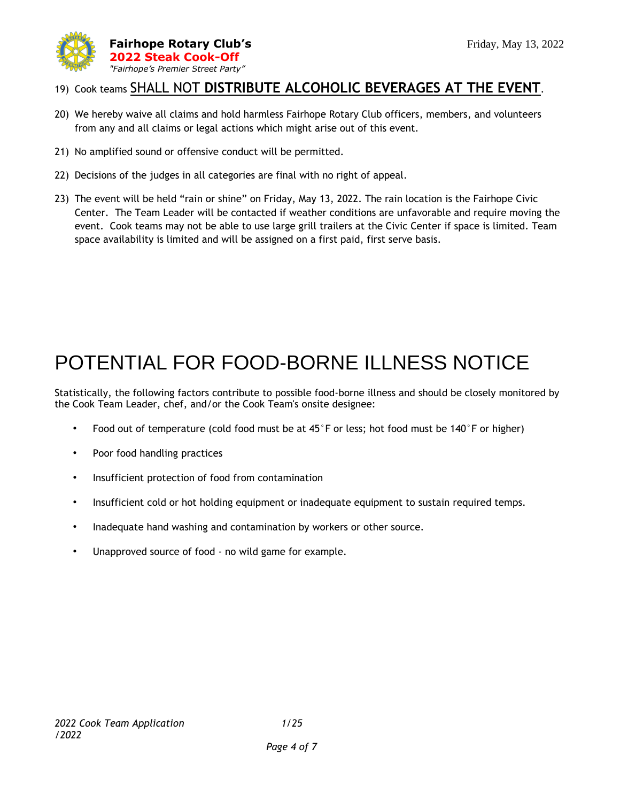

#### 19) Cook teams SHALL NOT **DISTRIBUTE ALCOHOLIC BEVERAGES AT THE EVENT**.

- 20) We hereby waive all claims and hold harmless Fairhope Rotary Club officers, members, and volunteers from any and all claims or legal actions which might arise out of this event.
- 21) No amplified sound or offensive conduct will be permitted.
- 22) Decisions of the judges in all categories are final with no right of appeal.
- 23) The event will be held "rain or shine" on Friday, May 13, 2022. The rain location is the Fairhope Civic Center. The Team Leader will be contacted if weather conditions are unfavorable and require moving the event. Cook teams may not be able to use large grill trailers at the Civic Center if space is limited. Team space availability is limited and will be assigned on a first paid, first serve basis.

## POTENTIAL FOR FOOD-BORNE ILLNESS NOTICE

Statistically, the following factors contribute to possible food-borne illness and should be closely monitored by the Cook Team Leader, chef, and/or the Cook Team's onsite designee:

- Food out of temperature (cold food must be at 45°F or less; hot food must be 140°F or higher)
- Poor food handling practices
- Insufficient protection of food from contamination
- Insufficient cold or hot holding equipment or inadequate equipment to sustain required temps.
- Inadequate hand washing and contamination by workers or other source.
- Unapproved source of food no wild game for example.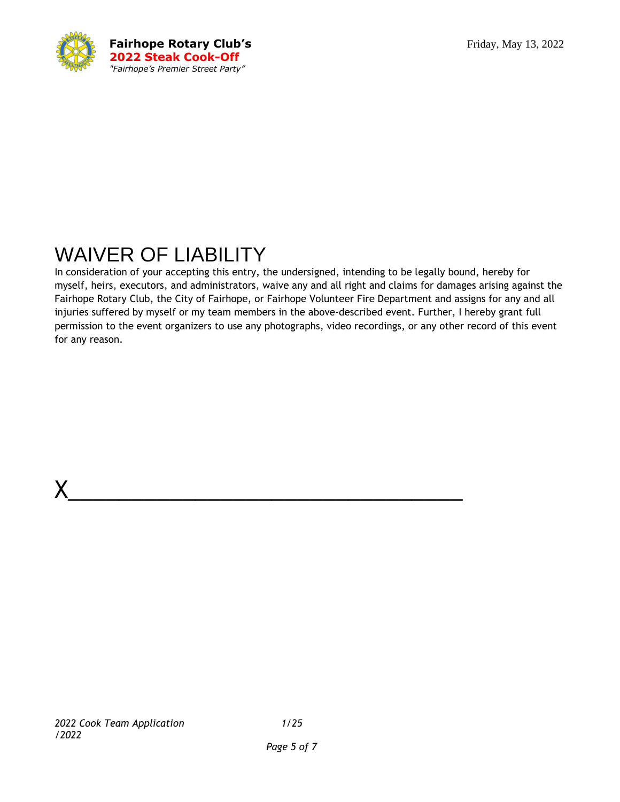

## WAIVER OF LIABILITY

In consideration of your accepting this entry, the undersigned, intending to be legally bound, hereby for myself, heirs, executors, and administrators, waive any and all right and claims for damages arising against the Fairhope Rotary Club, the City of Fairhope, or Fairhope Volunteer Fire Department and assigns for any and all injuries suffered by myself or my team members in the above-described event. Further, I hereby grant full permission to the event organizers to use any photographs, video recordings, or any other record of this event for any reason.

 $X_\_$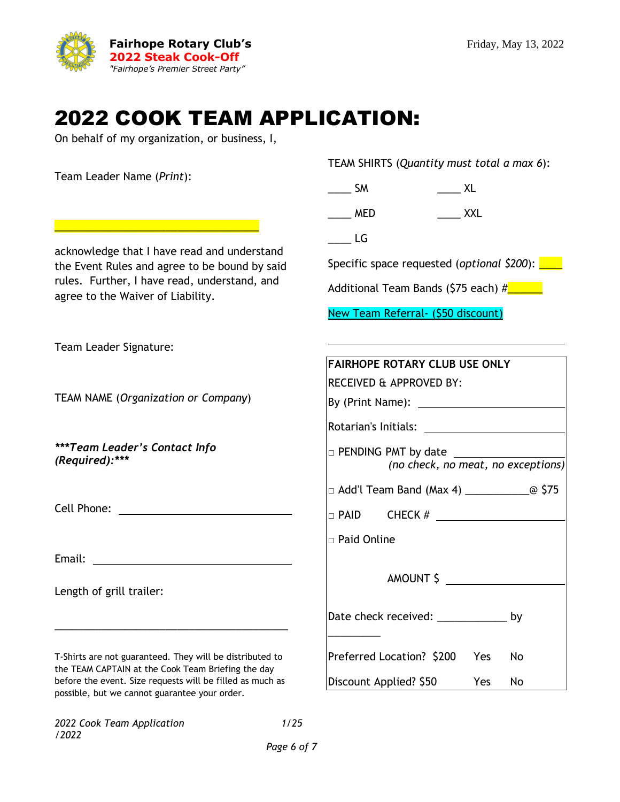

#### 2022 COOK TEAM APPLICATION:

On behalf of my organization, or business, I,

\_\_\_\_\_\_\_\_\_\_\_\_\_\_\_\_\_\_\_\_\_\_\_\_\_\_\_\_\_\_\_\_\_\_\_

acknowledge that I have read and understand the Event Rules and agree to be bound by said rules. Further, I have read, understand, and

Team Leader Name (*Print*):

agree to the Waiver of Liability.

TEAM SHIRTS (*Quantity must total a max 6*):

\_\_\_\_\_\_ SM \_\_\_\_\_\_\_ XL

\_\_\_\_ MED \_\_\_\_ XXL

 $\rule{1em}{0.15mm}$  LG

Specific space requested (*optional* \$200): <u>see</u>

Additional Team Bands (\$75 each)  $\#$ 

New Team Referral- (\$50 discount)

| Team Leader Signature:                                                                                         |                                                                  |
|----------------------------------------------------------------------------------------------------------------|------------------------------------------------------------------|
|                                                                                                                | <b>FAIRHOPE ROTARY CLUB USE ONLY</b>                             |
|                                                                                                                | RECEIVED & APPROVED BY:                                          |
| <b>TEAM NAME (Organization or Company)</b>                                                                     |                                                                  |
|                                                                                                                |                                                                  |
| ***Team Leader's Contact Info<br>(Required):***                                                                | $\Box$ PENDING PMT by date<br>(no check, no meat, no exceptions) |
|                                                                                                                |                                                                  |
|                                                                                                                |                                                                  |
|                                                                                                                | $\Box$ Paid Online                                               |
|                                                                                                                |                                                                  |
|                                                                                                                | AMOUNT \$                                                        |
| Length of grill trailer:                                                                                       |                                                                  |
|                                                                                                                | Date check received: ______________ by                           |
|                                                                                                                |                                                                  |
| T-Shirts are not guaranteed. They will be distributed to<br>the TEAM CAPTAIN at the Cook Team Briefing the day | Preferred Location? \$200 Yes<br>No                              |
| before the event. Size requests will be filled as much as<br>possible, but we cannot guarantee your order.     | Discount Applied? \$50<br>Yes<br>No                              |

*2022 Cook Team Application 1/25 /2022*